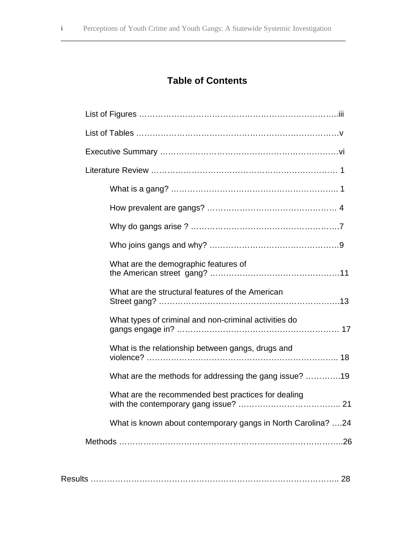## **Table of Contents**

| What are the demographic features of                         |  |
|--------------------------------------------------------------|--|
| What are the structural features of the American             |  |
| What types of criminal and non-criminal activities do        |  |
| What is the relationship between gangs, drugs and            |  |
| What are the methods for addressing the gang issue? 19       |  |
| What are the recommended best practices for dealing          |  |
| What is known about contemporary gangs in North Carolina? 24 |  |
|                                                              |  |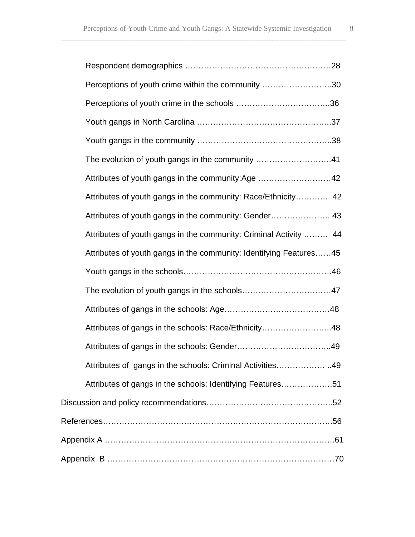| Perceptions of youth crime within the community 30                 |
|--------------------------------------------------------------------|
|                                                                    |
|                                                                    |
|                                                                    |
| The evolution of youth gangs in the community 41                   |
| Attributes of youth gangs in the community:Age 42                  |
| Attributes of youth gangs in the community: Race/Ethnicity 42      |
|                                                                    |
| Attributes of youth gangs in the community: Criminal Activity  44  |
| Attributes of youth gangs in the community: Identifying Features45 |
|                                                                    |
|                                                                    |
|                                                                    |
| Attributes of gangs in the schools: Race/Ethnicity48               |
|                                                                    |
| Attributes of gangs in the schools: Criminal Activities .49        |
| Attributes of gangs in the schools: Identifying Features51         |
|                                                                    |
|                                                                    |
|                                                                    |
|                                                                    |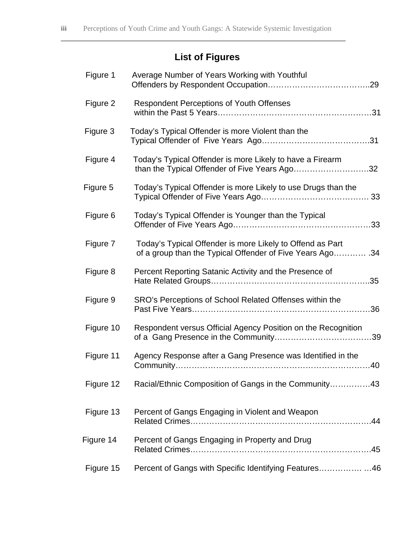## **List of Figures**

| Figure 1  | Average Number of Years Working with Youthful                                                                            |  |
|-----------|--------------------------------------------------------------------------------------------------------------------------|--|
| Figure 2  | <b>Respondent Perceptions of Youth Offenses</b>                                                                          |  |
| Figure 3  | Today's Typical Offender is more Violent than the                                                                        |  |
| Figure 4  | Today's Typical Offender is more Likely to have a Firearm<br>than the Typical Offender of Five Years Ago32               |  |
| Figure 5  | Today's Typical Offender is more Likely to use Drugs than the                                                            |  |
| Figure 6  | Today's Typical Offender is Younger than the Typical                                                                     |  |
| Figure 7  | Today's Typical Offender is more Likely to Offend as Part<br>of a group than the Typical Offender of Five Years Ago . 34 |  |
| Figure 8  | Percent Reporting Satanic Activity and the Presence of                                                                   |  |
| Figure 9  | SRO's Perceptions of School Related Offenses within the                                                                  |  |
| Figure 10 | Respondent versus Official Agency Position on the Recognition                                                            |  |
| Figure 11 | Agency Response after a Gang Presence was Identified in the                                                              |  |
| Figure 12 | Racial/Ethnic Composition of Gangs in the Community43                                                                    |  |
| Figure 13 | Percent of Gangs Engaging in Violent and Weapon                                                                          |  |
| Figure 14 | Percent of Gangs Engaging in Property and Drug                                                                           |  |
| Figure 15 | Percent of Gangs with Specific Identifying Features46                                                                    |  |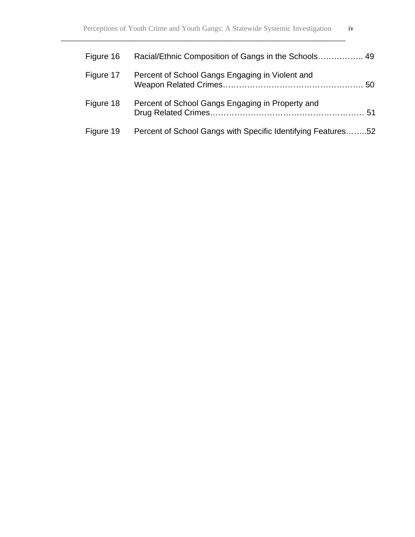| Figure 16 | Racial/Ethnic Composition of Gangs in the Schools 49         |  |
|-----------|--------------------------------------------------------------|--|
| Figure 17 | Percent of School Gangs Engaging in Violent and              |  |
| Figure 18 | Percent of School Gangs Engaging in Property and             |  |
| Figure 19 | Percent of School Gangs with Specific Identifying Features52 |  |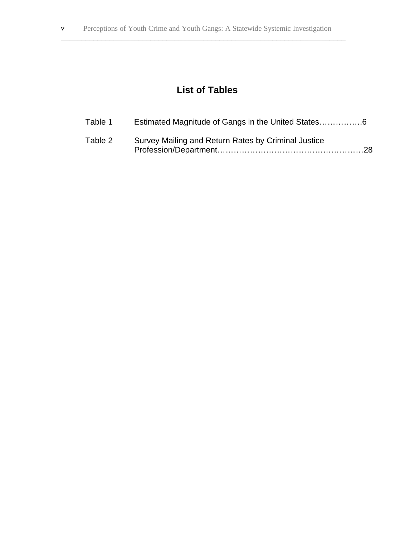## **List of Tables**

| Table 1 | Estimated Magnitude of Gangs in the United States6  |
|---------|-----------------------------------------------------|
| Table 2 | Survey Mailing and Return Rates by Criminal Justice |
|         |                                                     |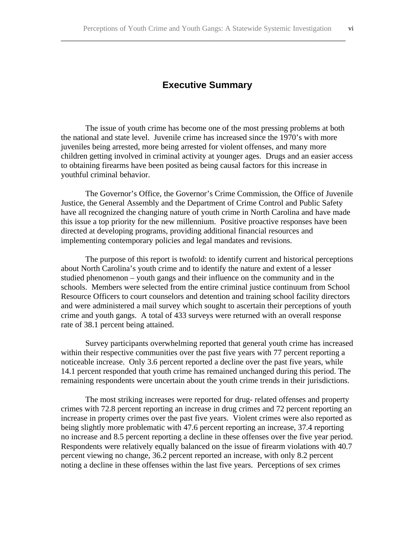## **Executive Summary**

\_\_\_\_\_\_\_\_\_\_\_\_\_\_\_\_\_\_\_\_\_\_\_\_\_\_\_\_\_\_\_\_\_\_\_\_\_\_\_\_\_\_\_\_\_\_\_\_\_\_\_\_\_\_\_\_\_\_\_\_\_\_\_\_\_\_\_\_\_\_

The issue of youth crime has become one of the most pressing problems at both the national and state level. Juvenile crime has increased since the 1970's with more juveniles being arrested, more being arrested for violent offenses, and many more children getting involved in criminal activity at younger ages. Drugs and an easier access to obtaining firearms have been posited as being causal factors for this increase in youthful criminal behavior.

The Governor's Office, the Governor's Crime Commission, the Office of Juvenile Justice, the General Assembly and the Department of Crime Control and Public Safety have all recognized the changing nature of youth crime in North Carolina and have made this issue a top priority for the new millennium. Positive proactive responses have been directed at developing programs, providing additional financial resources and implementing contemporary policies and legal mandates and revisions.

The purpose of this report is twofold: to identify current and historical perceptions about North Carolina's youth crime and to identify the nature and extent of a lesser studied phenomenon – youth gangs and their influence on the community and in the schools. Members were selected from the entire criminal justice continuum from School Resource Officers to court counselors and detention and training school facility directors and were administered a mail survey which sought to ascertain their perceptions of youth crime and youth gangs. A total of 433 surveys were returned with an overall response rate of 38.1 percent being attained.

Survey participants overwhelming reported that general youth crime has increased within their respective communities over the past five years with 77 percent reporting a noticeable increase. Only 3.6 percent reported a decline over the past five years, while 14.1 percent responded that youth crime has remained unchanged during this period. The remaining respondents were uncertain about the youth crime trends in their jurisdictions.

The most striking increases were reported for drug- related offenses and property crimes with 72.8 percent reporting an increase in drug crimes and 72 percent reporting an increase in property crimes over the past five years. Violent crimes were also reported as being slightly more problematic with 47.6 percent reporting an increase, 37.4 reporting no increase and 8.5 percent reporting a decline in these offenses over the five year period. Respondents were relatively equally balanced on the issue of firearm violations with 40.7 percent viewing no change, 36.2 percent reported an increase, with only 8.2 percent noting a decline in these offenses within the last five years. Perceptions of sex crimes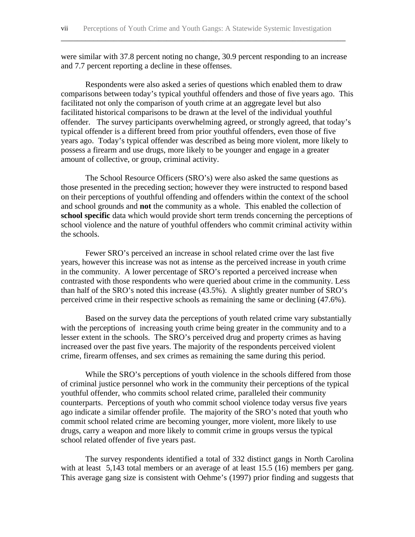were similar with 37.8 percent noting no change, 30.9 percent responding to an increase and 7.7 percent reporting a decline in these offenses.

\_\_\_\_\_\_\_\_\_\_\_\_\_\_\_\_\_\_\_\_\_\_\_\_\_\_\_\_\_\_\_\_\_\_\_\_\_\_\_\_\_\_\_\_\_\_\_\_\_\_\_\_\_\_\_\_\_\_\_\_\_\_\_\_\_\_\_\_\_\_

Respondents were also asked a series of questions which enabled them to draw comparisons between today's typical youthful offenders and those of five years ago. This facilitated not only the comparison of youth crime at an aggregate level but also facilitated historical comparisons to be drawn at the level of the individual youthful offender. The survey participants overwhelming agreed, or strongly agreed, that today's typical offender is a different breed from prior youthful offenders, even those of five years ago. Today's typical offender was described as being more violent, more likely to possess a firearm and use drugs, more likely to be younger and engage in a greater amount of collective, or group, criminal activity.

The School Resource Officers (SRO's) were also asked the same questions as those presented in the preceding section; however they were instructed to respond based on their perceptions of youthful offending and offenders within the context of the school and school grounds and **not** the community as a whole. This enabled the collection of **school specific** data which would provide short term trends concerning the perceptions of school violence and the nature of youthful offenders who commit criminal activity within the schools.

Fewer SRO's perceived an increase in school related crime over the last five years, however this increase was not as intense as the perceived increase in youth crime in the community. A lower percentage of SRO's reported a perceived increase when contrasted with those respondents who were queried about crime in the community. Less than half of the SRO's noted this increase (43.5%). A slightly greater number of SRO's perceived crime in their respective schools as remaining the same or declining (47.6%).

Based on the survey data the perceptions of youth related crime vary substantially with the perceptions of increasing youth crime being greater in the community and to a lesser extent in the schools. The SRO's perceived drug and property crimes as having increased over the past five years. The majority of the respondents perceived violent crime, firearm offenses, and sex crimes as remaining the same during this period.

While the SRO's perceptions of youth violence in the schools differed from those of criminal justice personnel who work in the community their perceptions of the typical youthful offender, who commits school related crime, paralleled their community counterparts. Perceptions of youth who commit school violence today versus five years ago indicate a similar offender profile. The majority of the SRO's noted that youth who commit school related crime are becoming younger, more violent, more likely to use drugs, carry a weapon and more likely to commit crime in groups versus the typical school related offender of five years past.

The survey respondents identified a total of 332 distinct gangs in North Carolina with at least 5,143 total members or an average of at least 15.5 (16) members per gang. This average gang size is consistent with Oehme's (1997) prior finding and suggests that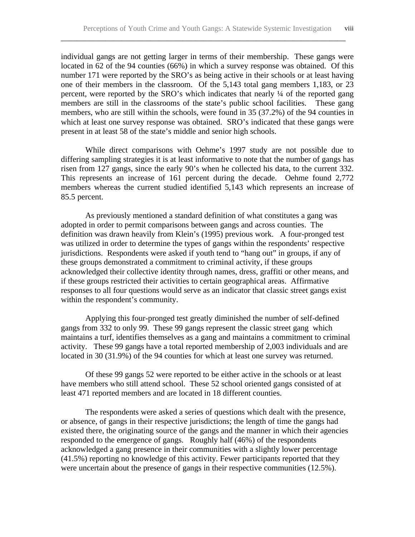individual gangs are not getting larger in terms of their membership. These gangs were located in 62 of the 94 counties (66%) in which a survey response was obtained. Of this number 171 were reported by the SRO's as being active in their schools or at least having one of their members in the classroom. Of the 5,143 total gang members 1,183, or 23 percent, were reported by the SRO's which indicates that nearly ¼ of the reported gang members are still in the classrooms of the state's public school facilities. These gang members, who are still within the schools, were found in 35 (37.2%) of the 94 counties in which at least one survey response was obtained. SRO's indicated that these gangs were present in at least 58 of the state's middle and senior high schools.

\_\_\_\_\_\_\_\_\_\_\_\_\_\_\_\_\_\_\_\_\_\_\_\_\_\_\_\_\_\_\_\_\_\_\_\_\_\_\_\_\_\_\_\_\_\_\_\_\_\_\_\_\_\_\_\_\_\_\_\_\_\_\_\_\_\_\_\_\_\_

While direct comparisons with Oehme's 1997 study are not possible due to differing sampling strategies it is at least informative to note that the number of gangs has risen from 127 gangs, since the early 90's when he collected his data, to the current 332. This represents an increase of 161 percent during the decade. Oehme found 2,772 members whereas the current studied identified 5,143 which represents an increase of 85.5 percent.

As previously mentioned a standard definition of what constitutes a gang was adopted in order to permit comparisons between gangs and across counties. The definition was drawn heavily from Klein's (1995) previous work. A four-pronged test was utilized in order to determine the types of gangs within the respondents' respective jurisdictions. Respondents were asked if youth tend to "hang out" in groups, if any of these groups demonstrated a commitment to criminal activity, if these groups acknowledged their collective identity through names, dress, graffiti or other means, and if these groups restricted their activities to certain geographical areas. Affirmative responses to all four questions would serve as an indicator that classic street gangs exist within the respondent's community.

Applying this four-pronged test greatly diminished the number of self-defined gangs from 332 to only 99. These 99 gangs represent the classic street gang which maintains a turf, identifies themselves as a gang and maintains a commitment to criminal activity. These 99 gangs have a total reported membership of 2,003 individuals and are located in 30 (31.9%) of the 94 counties for which at least one survey was returned.

Of these 99 gangs 52 were reported to be either active in the schools or at least have members who still attend school. These 52 school oriented gangs consisted of at least 471 reported members and are located in 18 different counties.

The respondents were asked a series of questions which dealt with the presence, or absence, of gangs in their respective jurisdictions; the length of time the gangs had existed there, the originating source of the gangs and the manner in which their agencies responded to the emergence of gangs. Roughly half (46%) of the respondents acknowledged a gang presence in their communities with a slightly lower percentage (41.5%) reporting no knowledge of this activity. Fewer participants reported that they were uncertain about the presence of gangs in their respective communities (12.5%).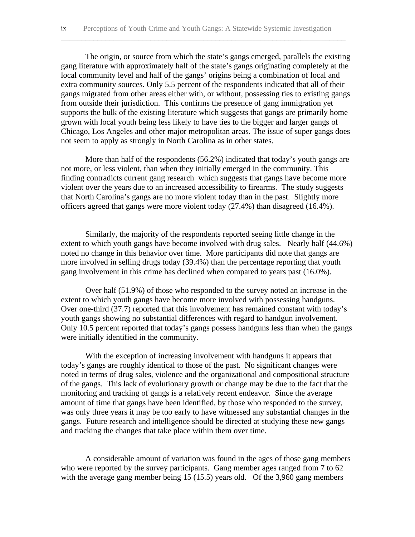The origin, or source from which the state's gangs emerged, parallels the existing gang literature with approximately half of the state's gangs originating completely at the local community level and half of the gangs' origins being a combination of local and extra community sources. Only 5.5 percent of the respondents indicated that all of their gangs migrated from other areas either with, or without, possessing ties to existing gangs from outside their jurisdiction. This confirms the presence of gang immigration yet supports the bulk of the existing literature which suggests that gangs are primarily home grown with local youth being less likely to have ties to the bigger and larger gangs of Chicago, Los Angeles and other major metropolitan areas. The issue of super gangs does not seem to apply as strongly in North Carolina as in other states.

More than half of the respondents (56.2%) indicated that today's youth gangs are not more, or less violent, than when they initially emerged in the community. This finding contradicts current gang research which suggests that gangs have become more violent over the years due to an increased accessibility to firearms. The study suggests that North Carolina's gangs are no more violent today than in the past. Slightly more officers agreed that gangs were more violent today (27.4%) than disagreed (16.4%).

Similarly, the majority of the respondents reported seeing little change in the extent to which youth gangs have become involved with drug sales. Nearly half (44.6%) noted no change in this behavior over time. More participants did note that gangs are more involved in selling drugs today (39.4%) than the percentage reporting that youth gang involvement in this crime has declined when compared to years past (16.0%).

Over half (51.9%) of those who responded to the survey noted an increase in the extent to which youth gangs have become more involved with possessing handguns. Over one-third (37.7) reported that this involvement has remained constant with today's youth gangs showing no substantial differences with regard to handgun involvement. Only 10.5 percent reported that today's gangs possess handguns less than when the gangs were initially identified in the community.

With the exception of increasing involvement with handguns it appears that today's gangs are roughly identical to those of the past. No significant changes were noted in terms of drug sales, violence and the organizational and compositional structure of the gangs. This lack of evolutionary growth or change may be due to the fact that the monitoring and tracking of gangs is a relatively recent endeavor. Since the average amount of time that gangs have been identified, by those who responded to the survey, was only three years it may be too early to have witnessed any substantial changes in the gangs. Future research and intelligence should be directed at studying these new gangs and tracking the changes that take place within them over time.

A considerable amount of variation was found in the ages of those gang members who were reported by the survey participants. Gang member ages ranged from 7 to 62 with the average gang member being 15 (15.5) years old. Of the 3,960 gang members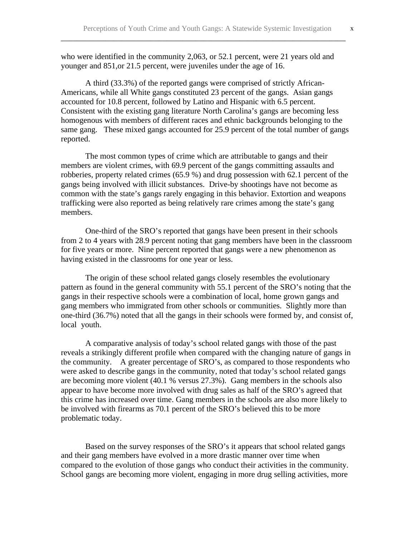who were identified in the community 2,063, or 52.1 percent, were 21 years old and younger and 851,or 21.5 percent, were juveniles under the age of 16.

A third (33.3%) of the reported gangs were comprised of strictly African-Americans, while all White gangs constituted 23 percent of the gangs. Asian gangs accounted for 10.8 percent, followed by Latino and Hispanic with 6.5 percent. Consistent with the existing gang literature North Carolina's gangs are becoming less homogenous with members of different races and ethnic backgrounds belonging to the same gang. These mixed gangs accounted for 25.9 percent of the total number of gangs reported.

The most common types of crime which are attributable to gangs and their members are violent crimes, with 69.9 percent of the gangs committing assaults and robberies, property related crimes (65.9 %) and drug possession with 62.1 percent of the gangs being involved with illicit substances. Drive-by shootings have not become as common with the state's gangs rarely engaging in this behavior. Extortion and weapons trafficking were also reported as being relatively rare crimes among the state's gang members.

One-third of the SRO's reported that gangs have been present in their schools from 2 to 4 years with 28.9 percent noting that gang members have been in the classroom for five years or more. Nine percent reported that gangs were a new phenomenon as having existed in the classrooms for one year or less.

The origin of these school related gangs closely resembles the evolutionary pattern as found in the general community with 55.1 percent of the SRO's noting that the gangs in their respective schools were a combination of local, home grown gangs and gang members who immigrated from other schools or communities. Slightly more than one-third (36.7%) noted that all the gangs in their schools were formed by, and consist of, local youth.

A comparative analysis of today's school related gangs with those of the past reveals a strikingly different profile when compared with the changing nature of gangs in the community. A greater percentage of SRO's, as compared to those respondents who were asked to describe gangs in the community, noted that today's school related gangs are becoming more violent (40.1 % versus 27.3%). Gang members in the schools also appear to have become more involved with drug sales as half of the SRO's agreed that this crime has increased over time. Gang members in the schools are also more likely to be involved with firearms as 70.1 percent of the SRO's believed this to be more problematic today.

Based on the survey responses of the SRO's it appears that school related gangs and their gang members have evolved in a more drastic manner over time when compared to the evolution of those gangs who conduct their activities in the community. School gangs are becoming more violent, engaging in more drug selling activities, more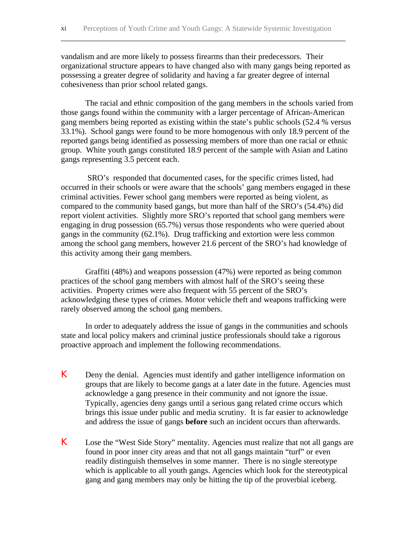vandalism and are more likely to possess firearms than their predecessors. Their organizational structure appears to have changed also with many gangs being reported as possessing a greater degree of solidarity and having a far greater degree of internal cohesiveness than prior school related gangs.

\_\_\_\_\_\_\_\_\_\_\_\_\_\_\_\_\_\_\_\_\_\_\_\_\_\_\_\_\_\_\_\_\_\_\_\_\_\_\_\_\_\_\_\_\_\_\_\_\_\_\_\_\_\_\_\_\_\_\_\_\_\_\_\_\_\_\_\_\_\_

The racial and ethnic composition of the gang members in the schools varied from those gangs found within the community with a larger percentage of African-American gang members being reported as existing within the state's public schools (52.4 % versus 33.1%). School gangs were found to be more homogenous with only 18.9 percent of the reported gangs being identified as possessing members of more than one racial or ethnic group. White youth gangs constituted 18.9 percent of the sample with Asian and Latino gangs representing 3.5 percent each.

SRO's responded that documented cases, for the specific crimes listed, had occurred in their schools or were aware that the schools' gang members engaged in these criminal activities. Fewer school gang members were reported as being violent, as compared to the community based gangs, but more than half of the SRO's (54.4%) did report violent activities. Slightly more SRO's reported that school gang members were engaging in drug possession (65.7%) versus those respondents who were queried about gangs in the community (62.1%). Drug trafficking and extortion were less common among the school gang members, however 21.6 percent of the SRO's had knowledge of this activity among their gang members.

Graffiti (48%) and weapons possession (47%) were reported as being common practices of the school gang members with almost half of the SRO's seeing these activities. Property crimes were also frequent with 55 percent of the SRO's acknowledging these types of crimes. Motor vehicle theft and weapons trafficking were rarely observed among the school gang members.

In order to adequately address the issue of gangs in the communities and schools state and local policy makers and criminal justice professionals should take a rigorous proactive approach and implement the following recommendations.

- K Deny the denial. Agencies must identify and gather intelligence information on groups that are likely to become gangs at a later date in the future. Agencies must acknowledge a gang presence in their community and not ignore the issue. Typically, agencies deny gangs until a serious gang related crime occurs which brings this issue under public and media scrutiny. It is far easier to acknowledge and address the issue of gangs **before** such an incident occurs than afterwards.
- K Lose the "West Side Story" mentality. Agencies must realize that not all gangs are found in poor inner city areas and that not all gangs maintain "turf" or even readily distinguish themselves in some manner. There is no single stereotype which is applicable to all youth gangs. Agencies which look for the stereotypical gang and gang members may only be hitting the tip of the proverbial iceberg.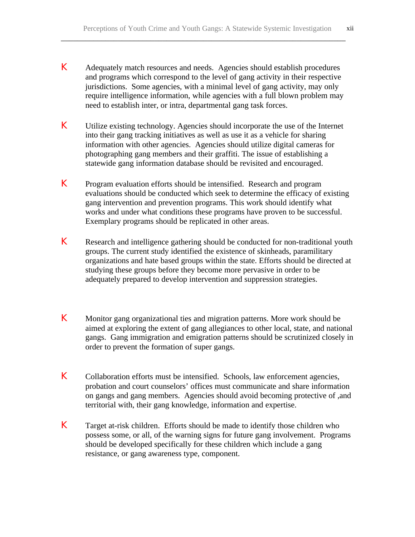K Adequately match resources and needs. Agencies should establish procedures and programs which correspond to the level of gang activity in their respective jurisdictions. Some agencies, with a minimal level of gang activity, may only require intelligence information, while agencies with a full blown problem may need to establish inter, or intra, departmental gang task forces.

- K Utilize existing technology. Agencies should incorporate the use of the Internet into their gang tracking initiatives as well as use it as a vehicle for sharing information with other agencies. Agencies should utilize digital cameras for photographing gang members and their graffiti. The issue of establishing a statewide gang information database should be revisited and encouraged.
- K Program evaluation efforts should be intensified. Research and program evaluations should be conducted which seek to determine the efficacy of existing gang intervention and prevention programs. This work should identify what works and under what conditions these programs have proven to be successful. Exemplary programs should be replicated in other areas.
- K Research and intelligence gathering should be conducted for non-traditional youth groups. The current study identified the existence of skinheads, paramilitary organizations and hate based groups within the state. Efforts should be directed at studying these groups before they become more pervasive in order to be adequately prepared to develop intervention and suppression strategies.
- K Monitor gang organizational ties and migration patterns. More work should be aimed at exploring the extent of gang allegiances to other local, state, and national gangs. Gang immigration and emigration patterns should be scrutinized closely in order to prevent the formation of super gangs.
- K Collaboration efforts must be intensified. Schools, law enforcement agencies, probation and court counselors' offices must communicate and share information on gangs and gang members. Agencies should avoid becoming protective of ,and territorial with, their gang knowledge, information and expertise.
- K Target at-risk children. Efforts should be made to identify those children who possess some, or all, of the warning signs for future gang involvement. Programs should be developed specifically for these children which include a gang resistance, or gang awareness type, component.